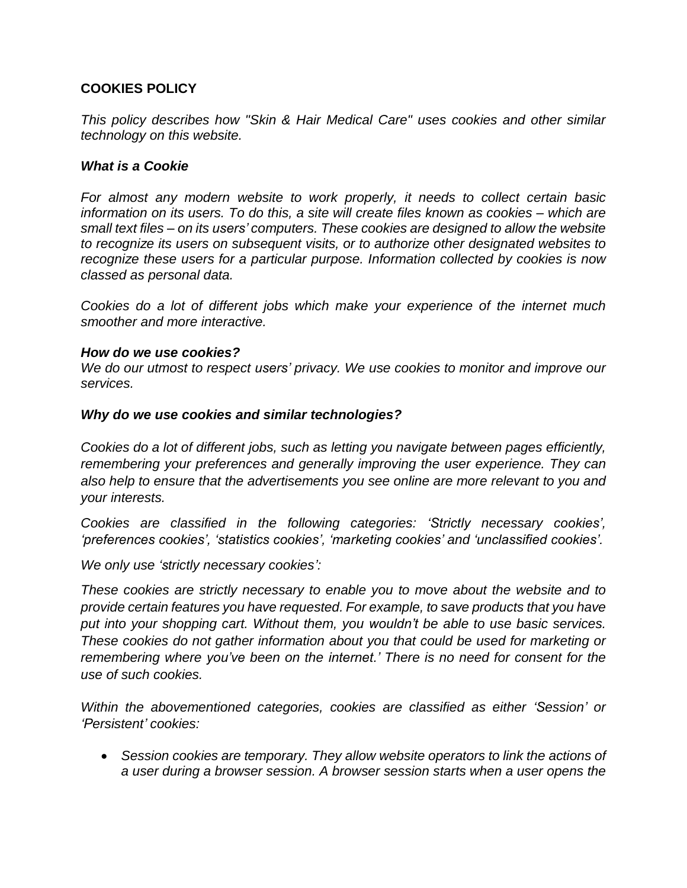## **COOKIES POLICY**

*This policy describes how "Skin & Hair Medical Care" uses cookies and other similar technology on this website.*

## *What is a Cookie*

*For almost any modern website to work properly, it needs to collect certain basic information on its users. To do this, a site will create files known as cookies – which are small text files – on its users' computers. These cookies are designed to allow the website to recognize its users on subsequent visits, or to authorize other designated websites to recognize these users for a particular purpose. Information collected by cookies is now classed as personal data.*

*Cookies do a lot of different jobs which make your experience of the internet much smoother and more interactive.*

#### *How do we use cookies?*

*We do our utmost to respect users' privacy. We use cookies to monitor and improve our services.*

## *Why do we use cookies and similar technologies?*

*Cookies do a lot of different jobs, such as letting you navigate between pages efficiently, remembering your preferences and generally improving the user experience. They can also help to ensure that the advertisements you see online are more relevant to you and your interests.*

*Cookies are classified in the following categories: 'Strictly necessary cookies', 'preferences cookies', 'statistics cookies', 'marketing cookies' and 'unclassified cookies'.*

*We only use 'strictly necessary cookies':*

*These cookies are strictly necessary to enable you to move about the website and to provide certain features you have requested. For example, to save products that you have put into your shopping cart. Without them, you wouldn't be able to use basic services. These cookies do not gather information about you that could be used for marketing or remembering where you've been on the internet.' There is no need for consent for the use of such cookies.*

*Within the abovementioned categories, cookies are classified as either 'Session' or 'Persistent' cookies:* 

 *Session cookies are temporary. They allow website operators to link the actions of a user during a browser session. A browser session starts when a user opens the*